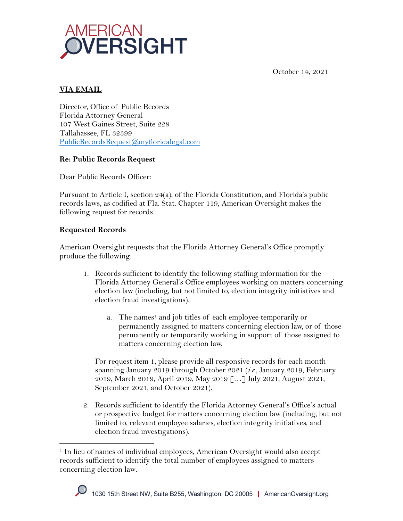

October 14, 2021

## **VIA EMAIL**

Director, Office of Public Records Florida Attorney General 107 West Gaines Street, Suite 228 Tallahassee, FL 32399 PublicRecordsRequest@myfloridalegal.com

## **Re: Public Records Request**

Dear Public Records Officer:

Pursuant to Article I, section 24(a), of the Florida Constitution, and Florida's public records laws, as codified at Fla. Stat. Chapter 119, American Oversight makes the following request for records.

## **Requested Records**

American Oversight requests that the Florida Attorney General's Office promptly produce the following:

- 1. Records sufficient to identify the following staffing information for the Florida Attorney General's Office employees working on matters concerning election law (including, but not limited to, election integrity initiatives and election fraud investigations).
	- a. The names<sup>1</sup> and job titles of each employee temporarily or permanently assigned to matters concerning election law, or of those permanently or temporarily working in support of those assigned to matters concerning election law.

For request item 1, please provide all responsive records for each month spanning January 2019 through October 2021 (*i.e.*, January 2019, February 2019, March 2019, April 2019, May 2019 […] July 2021, August 2021, September 2021, and October 2021).

2. Records sufficient to identify the Florida Attorney General's Office's actual or prospective budget for matters concerning election law (including, but not limited to, relevant employee salaries, election integrity initiatives, and election fraud investigations).

<sup>&</sup>lt;sup>1</sup> In lieu of names of individual employees, American Oversight would also accept records sufficient to identify the total number of employees assigned to matters concerning election law.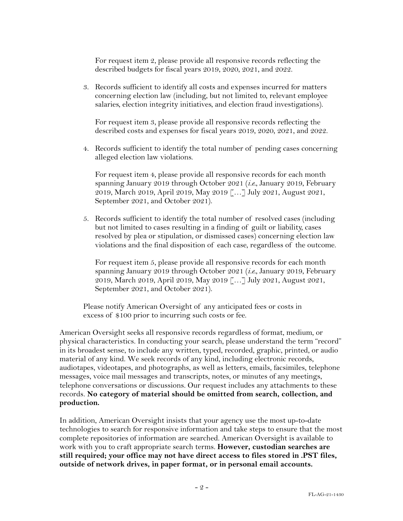For request item 2, please provide all responsive records reflecting the described budgets for fiscal years 2019, 2020, 2021, and 2022.

3. Records sufficient to identify all costs and expenses incurred for matters concerning election law (including, but not limited to, relevant employee salaries, election integrity initiatives, and election fraud investigations).

For request item 3, please provide all responsive records reflecting the described costs and expenses for fiscal years 2019, 2020, 2021, and 2022.

4. Records sufficient to identify the total number of pending cases concerning alleged election law violations.

For request item 4, please provide all responsive records for each month spanning January 2019 through October 2021 (*i.e.*, January 2019, February 2019, March 2019, April 2019, May 2019 […] July 2021, August 2021, September 2021, and October 2021).

5. Records sufficient to identify the total number of resolved cases (including but not limited to cases resulting in a finding of guilt or liability, cases resolved by plea or stipulation, or dismissed cases) concerning election law violations and the final disposition of each case, regardless of the outcome.

For request item 5, please provide all responsive records for each month spanning January 2019 through October 2021 (*i.e.*, January 2019, February 2019, March 2019, April 2019, May 2019 […] July 2021, August 2021, September 2021, and October 2021).

Please notify American Oversight of any anticipated fees or costs in excess of \$100 prior to incurring such costs or fee.

American Oversight seeks all responsive records regardless of format, medium, or physical characteristics. In conducting your search, please understand the term "record" in its broadest sense, to include any written, typed, recorded, graphic, printed, or audio material of any kind. We seek records of any kind, including electronic records, audiotapes, videotapes, and photographs, as well as letters, emails, facsimiles, telephone messages, voice mail messages and transcripts, notes, or minutes of any meetings, telephone conversations or discussions. Our request includes any attachments to these records. **No category of material should be omitted from search, collection, and production.**

In addition, American Oversight insists that your agency use the most up-to-date technologies to search for responsive information and take steps to ensure that the most complete repositories of information are searched. American Oversight is available to work with you to craft appropriate search terms. **However, custodian searches are still required; your office may not have direct access to files stored in .PST files, outside of network drives, in paper format, or in personal email accounts.**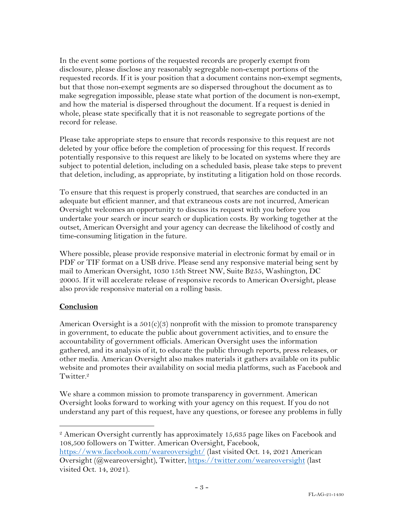In the event some portions of the requested records are properly exempt from disclosure, please disclose any reasonably segregable non-exempt portions of the requested records. If it is your position that a document contains non-exempt segments, but that those non-exempt segments are so dispersed throughout the document as to make segregation impossible, please state what portion of the document is non-exempt, and how the material is dispersed throughout the document. If a request is denied in whole, please state specifically that it is not reasonable to segregate portions of the record for release.

Please take appropriate steps to ensure that records responsive to this request are not deleted by your office before the completion of processing for this request. If records potentially responsive to this request are likely to be located on systems where they are subject to potential deletion, including on a scheduled basis, please take steps to prevent that deletion, including, as appropriate, by instituting a litigation hold on those records.

To ensure that this request is properly construed, that searches are conducted in an adequate but efficient manner, and that extraneous costs are not incurred, American Oversight welcomes an opportunity to discuss its request with you before you undertake your search or incur search or duplication costs. By working together at the outset, American Oversight and your agency can decrease the likelihood of costly and time-consuming litigation in the future.

Where possible, please provide responsive material in electronic format by email or in PDF or TIF format on a USB drive. Please send any responsive material being sent by mail to American Oversight, 1030 15th Street NW, Suite B255, Washington, DC 20005. If it will accelerate release of responsive records to American Oversight, please also provide responsive material on a rolling basis.

## **Conclusion**

American Oversight is a  $501(c)(3)$  nonprofit with the mission to promote transparency in government, to educate the public about government activities, and to ensure the accountability of government officials. American Oversight uses the information gathered, and its analysis of it, to educate the public through reports, press releases, or other media. American Oversight also makes materials it gathers available on its public website and promotes their availability on social media platforms, such as Facebook and Twitter.<sup>2</sup>

We share a common mission to promote transparency in government. American Oversight looks forward to working with your agency on this request. If you do not understand any part of this request, have any questions, or foresee any problems in fully

<sup>&</sup>lt;sup>2</sup> American Oversight currently has approximately 15,635 page likes on Facebook and 108,500 followers on Twitter. American Oversight, Facebook,

https://www.facebook.com/weareoversight/ (last visited Oct. 14, 2021 American Oversight (@weareoversight), Twitter, https://twitter.com/weareoversight (last visited Oct. 14, 2021).